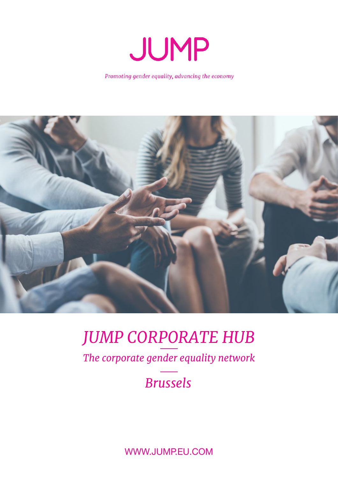

Promoting gender equality, advancing the economy



# *JUMP CORPORATE HUB*

*The corporate gender equality network*

## *Brussels*

WWW.JUMP.EU.COM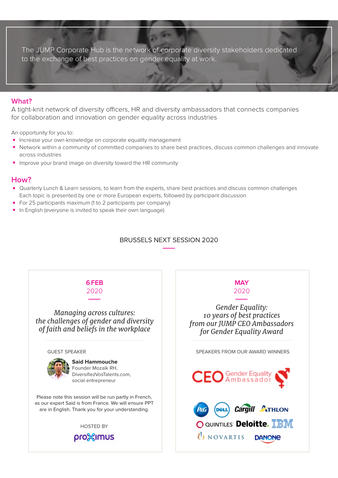The JUMP Corporate Hub is the network of corporate diversity stakeholders dedicated to the exchange of best practices on gender equality at work.

#### **What?**

A tight-knit network of diversity officers, HR and diversity ambassadors that connects companies for collaboration and innovation on gender equality across industries

An opportunity for you to:

- Increase your own knowledge on corporate equality management
- Network within a community of committed companies to share best practices, discuss common challenges and innovate across industries
- Improve your brand image on diversity toward the HR community

#### **How?**

- Quarterly Lunch & Learn sessions, to learn from the experts, share best practices and discuss common challenges Each topic is presented by one or more European experts, followed by participant discussion
- For 25 participants maximum (1 to 2 participants per company)
- In English (everyone is invited to speak their own language)

#### BRUSSELS NEXT SESSION 2020

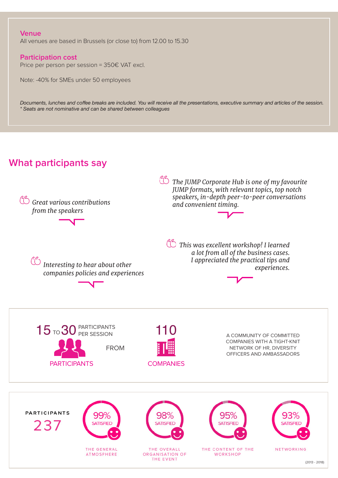#### **Venue**

All venues are based in Brussels (or close to) from 12.00 to 15.30

#### **Participation cost**

Price per person per session = 350€ VAT excl.

Note: -40% for SMEs under 50 employees

*Documents, lunches and coffee breaks are included. You will receive all the presentations, executive summary and articles of the session. \* Seats are not nominative and can be shared between colleagues*

### **What participants say**